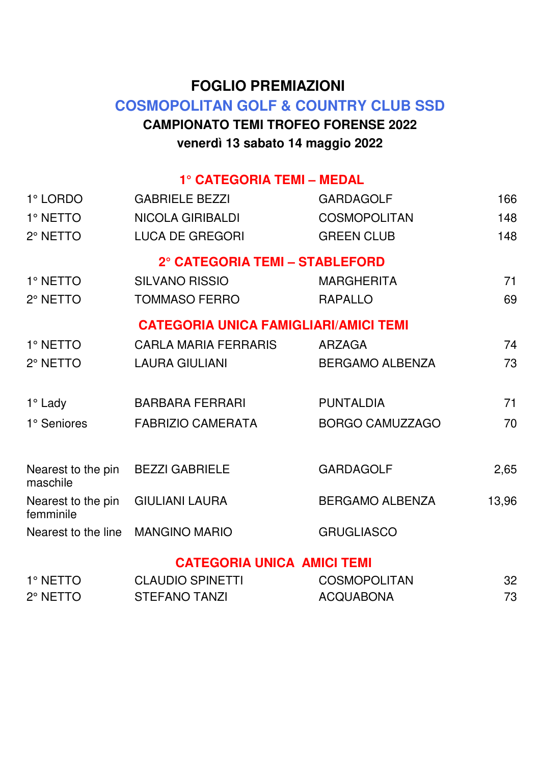# **FOGLIO PREMIAZIONI**

## **COSMOPOLITAN GOLF & COUNTRY CLUB SSD**

## **CAMPIONATO TEMI TROFEO FORENSE 2022**

## **venerdì 13 sabato 14 maggio 2022**

### **1° CATEGORIA TEMI – MEDAL**

| 1º LORDO                        | <b>GABRIELE BEZZI</b>                        | <b>GARDAGOLF</b>       | 166   |
|---------------------------------|----------------------------------------------|------------------------|-------|
| 1° NETTO                        | <b>NICOLA GIRIBALDI</b>                      | <b>COSMOPOLITAN</b>    | 148   |
| 2° NETTO                        | <b>LUCA DE GREGORI</b>                       | <b>GREEN CLUB</b>      | 148   |
|                                 | 2° CATEGORIA TEMI - STABLEFORD               |                        |       |
| 1º NETTO                        | <b>SILVANO RISSIO</b>                        | <b>MARGHERITA</b>      | 71    |
| 2° NETTO                        | <b>TOMMASO FERRO</b>                         | <b>RAPALLO</b>         | 69    |
|                                 | <b>CATEGORIA UNICA FAMIGLIARI/AMICI TEMI</b> |                        |       |
| 1º NETTO                        | <b>CARLA MARIA FERRARIS</b>                  | <b>ARZAGA</b>          | 74    |
| 2° NETTO                        | <b>LAURA GIULIANI</b>                        | <b>BERGAMO ALBENZA</b> | 73    |
|                                 |                                              |                        |       |
| $1^\circ$ Lady                  | <b>BARBARA FERRARI</b>                       | <b>PUNTALDIA</b>       | 71    |
| 1° Seniores                     | <b>FABRIZIO CAMERATA</b>                     | <b>BORGO CAMUZZAGO</b> | 70    |
|                                 |                                              |                        |       |
| Nearest to the pin<br>maschile  | <b>BEZZI GABRIELE</b>                        | <b>GARDAGOLF</b>       | 2,65  |
| Nearest to the pin<br>femminile | <b>GIULIANI LAURA</b>                        | <b>BERGAMO ALBENZA</b> | 13,96 |
|                                 | Nearest to the line MANGINO MARIO            | <b>GRUGLIASCO</b>      |       |
|                                 | <b>CATEGORIA UNICA AMICI TEMI</b>            |                        |       |

| 1° NETTO | CLAUDIO SPINETTI     | <b>COSMOPOLITAN</b> | 32 |
|----------|----------------------|---------------------|----|
| 2° NETTO | <b>STEFANO TANZI</b> | <b>ACQUABONA</b>    |    |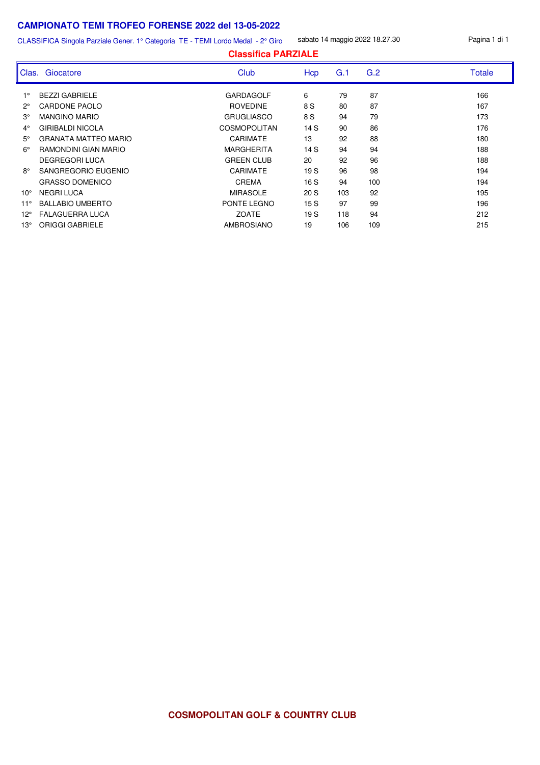CLASSIFICA Singola Parziale Gener. 1° Categoria TE - TEMI Lordo Medal - 2° Giro sabato 14 maggio 2022 18.27.30 Pagina 1 di 1

### **Classifica PARZIALE**

|              | Clas. Giocatore             | Club                | Hcp  | G.1 | G.2 | Totale |
|--------------|-----------------------------|---------------------|------|-----|-----|--------|
| $1^{\circ}$  | <b>BEZZI GABRIELE</b>       | <b>GARDAGOLF</b>    | 6    | 79  | 87  | 166    |
| $2^{\circ}$  | <b>CARDONE PAOLO</b>        | <b>ROVEDINE</b>     | 8 S  | 80  | 87  | 167    |
| $3^\circ$    | <b>MANGINO MARIO</b>        | <b>GRUGLIASCO</b>   | 8 S  | 94  | 79  | 173    |
| $4^{\circ}$  | <b>GIRIBALDI NICOLA</b>     | <b>COSMOPOLITAN</b> | 14 S | 90  | 86  | 176    |
| $5^{\circ}$  | <b>GRANATA MATTEO MARIO</b> | CARIMATE            | 13   | 92  | 88  | 180    |
| $6^{\circ}$  | RAMONDINI GIAN MARIO        | <b>MARGHERITA</b>   | 14 S | 94  | 94  | 188    |
|              | <b>DEGREGORI LUCA</b>       | <b>GREEN CLUB</b>   | 20   | 92  | 96  | 188    |
| 8°           | SANGREGORIO EUGENIO         | CARIMATE            | 19 S | 96  | 98  | 194    |
|              | <b>GRASSO DOMENICO</b>      | CREMA               | 16 S | 94  | 100 | 194    |
| $10^{\circ}$ | <b>NEGRI LUCA</b>           | <b>MIRASOLE</b>     | 20S  | 103 | 92  | 195    |
| $11^{\circ}$ | <b>BALLABIO UMBERTO</b>     | PONTE LEGNO         | 15S  | 97  | 99  | 196    |
| $12^{\circ}$ | <b>FALAGUERRA LUCA</b>      | <b>ZOATE</b>        | 19 S | 118 | 94  | 212    |
| $13^{\circ}$ | ORIGGI GABRIELE             | <b>AMBROSIANO</b>   | 19   | 106 | 109 | 215    |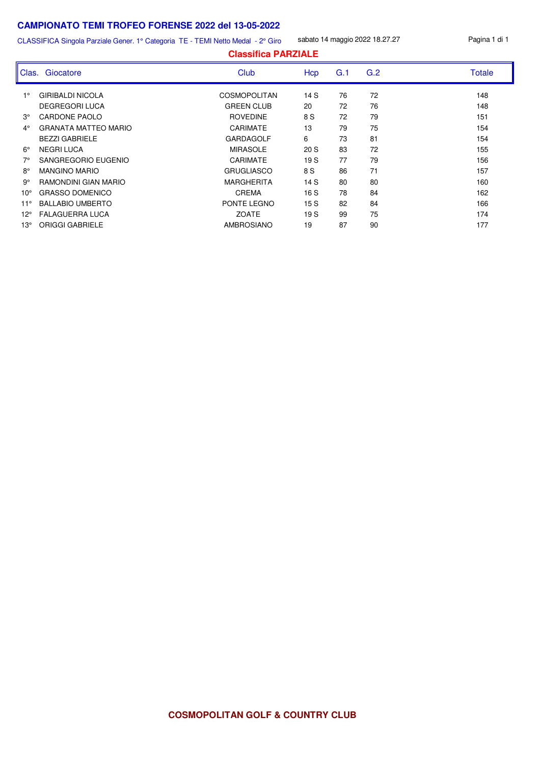CLASSIFICA Singola Parziale Gener. 1° Categoria TE - TEMI Netto Medal - 2° Giro

sabato 14 maggio 2022 18.27.27 Pagina 1 di 1

#### **Classifica PARZIALE**

| Clas.        | Giocatore                   | Club                | Hcp  | G.1 | G.2 | <b>Totale</b> |
|--------------|-----------------------------|---------------------|------|-----|-----|---------------|
| $1^{\circ}$  | <b>GIRIBALDI NICOLA</b>     | <b>COSMOPOLITAN</b> | 14 S | 76  | 72  | 148           |
|              | <b>DEGREGORI LUCA</b>       | <b>GREEN CLUB</b>   | 20   | 72  | 76  | 148           |
| $3^\circ$    | CARDONE PAOLO               | <b>ROVEDINE</b>     | 8 S  | 72  | 79  | 151           |
| $4^\circ$    | <b>GRANATA MATTEO MARIO</b> | CARIMATE            | 13   | 79  | 75  | 154           |
|              | <b>BEZZI GABRIELE</b>       | <b>GARDAGOLF</b>    | 6    | 73  | 81  | 154           |
| $6^{\circ}$  | <b>NEGRI LUCA</b>           | <b>MIRASOLE</b>     | 20S  | 83  | 72  | 155           |
| $7^{\circ}$  | SANGREGORIO EUGENIO         | CARIMATE            | 19 S | 77  | 79  | 156           |
| $8^{\circ}$  | <b>MANGINO MARIO</b>        | <b>GRUGLIASCO</b>   | 8 S  | 86  | 71  | 157           |
| 9°           | RAMONDINI GIAN MARIO        | <b>MARGHERITA</b>   | 14 S | 80  | 80  | 160           |
| $10^{\circ}$ | <b>GRASSO DOMENICO</b>      | CREMA               | 16 S | 78  | 84  | 162           |
| $11^{\circ}$ | <b>BALLABIO UMBERTO</b>     | PONTE LEGNO         | 15 S | 82  | 84  | 166           |
| $12^{\circ}$ | <b>FALAGUERRA LUCA</b>      | <b>ZOATE</b>        | 19 S | 99  | 75  | 174           |
| $13^\circ$   | <b>ORIGGI GABRIELE</b>      | <b>AMBROSIANO</b>   | 19   | 87  | 90  | 177           |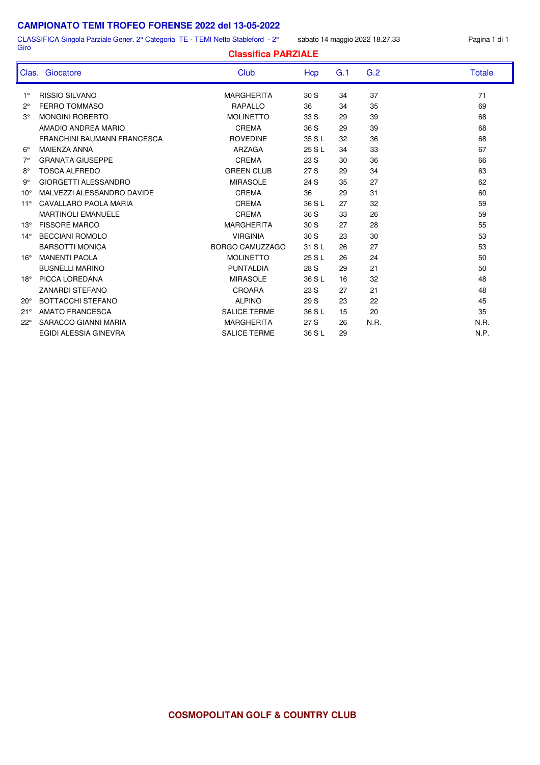CLASSIFICA Singola Parziale Gener. 2° Categoria TE - TEMI Netto Stableford - 2° sabato 14 maggio 2022 18.27.33 Pagina 1 di 1 Giro

| Giro         | <b>Classifica PARZIALE</b>         |                     |        |     |      |               |
|--------------|------------------------------------|---------------------|--------|-----|------|---------------|
|              | Clas. Giocatore                    | Club                | Hcp    | G.1 | G.2  | <b>Totale</b> |
| $1^{\circ}$  | <b>RISSIO SILVANO</b>              | <b>MARGHERITA</b>   | 30 S   | 34  | 37   | 71            |
| $2^{\circ}$  | <b>FERRO TOMMASO</b>               | RAPALLO             | 36     | 34  | 35   | 69            |
| $3^\circ$    | <b>MONGINI ROBERTO</b>             | <b>MOLINETTO</b>    | 33 S   | 29  | 39   | 68            |
|              | AMADIO ANDREA MARIO                | <b>CREMA</b>        | 36 S   | 29  | 39   | 68            |
|              | <b>FRANCHINI BAUMANN FRANCESCA</b> | <b>ROVEDINE</b>     | 35 S L | 32  | 36   | 68            |
| $6^{\circ}$  | <b>MAIENZA ANNA</b>                | <b>ARZAGA</b>       | 25 S L | 34  | 33   | 67            |
| $7^\circ$    | <b>GRANATA GIUSEPPE</b>            | CREMA               | 23 S   | 30  | 36   | 66            |
| $8^{\circ}$  | <b>TOSCA ALFREDO</b>               | <b>GREEN CLUB</b>   | 27 S   | 29  | 34   | 63            |
| $9^{\circ}$  | <b>GIORGETTI ALESSANDRO</b>        | <b>MIRASOLE</b>     | 24 S   | 35  | 27   | 62            |
| $10^{\circ}$ | MALVEZZI ALESSANDRO DAVIDE         | CREMA               | 36     | 29  | 31   | 60            |
| $11^{\circ}$ | CAVALLARO PAOLA MARIA              | CREMA               | 36 S L | 27  | 32   | 59            |
|              | <b>MARTINOLI EMANUELE</b>          | CREMA               | 36 S   | 33  | 26   | 59            |
| $13^\circ$   | <b>FISSORE MARCO</b>               | <b>MARGHERITA</b>   | 30S    | 27  | 28   | 55            |
| $14^{\circ}$ | <b>BECCIANI ROMOLO</b>             | <b>VIRGINIA</b>     | 30S    | 23  | 30   | 53            |
|              | <b>BARSOTTI MONICA</b>             | BORGO CAMUZZAGO     | 31 S L | 26  | 27   | 53            |
| $16^{\circ}$ | <b>MANENTI PAOLA</b>               | <b>MOLINETTO</b>    | 25 S L | 26  | 24   | 50            |
|              | <b>BUSNELLI MARINO</b>             | <b>PUNTALDIA</b>    | 28 S   | 29  | 21   | 50            |
| $18^{\circ}$ | PICCA LOREDANA                     | <b>MIRASOLE</b>     | 36 S L | 16  | 32   | 48            |
|              | <b>ZANARDI STEFANO</b>             | CROARA              | 23 S   | 27  | 21   | 48            |
| $20^{\circ}$ | BOTTACCHI STEFANO                  | <b>ALPINO</b>       | 29 S   | 23  | 22   | 45            |
| $21^{\circ}$ | AMATO FRANCESCA                    | <b>SALICE TERME</b> | 36 S L | 15  | 20   | 35            |
| $22^{\circ}$ | SARACCO GIANNI MARIA               | <b>MARGHERITA</b>   | 27S    | 26  | N.R. | N.R.          |
|              | EGIDI ALESSIA GINEVRA              | <b>SALICE TERME</b> | 36 S L | 29  |      | N.P.          |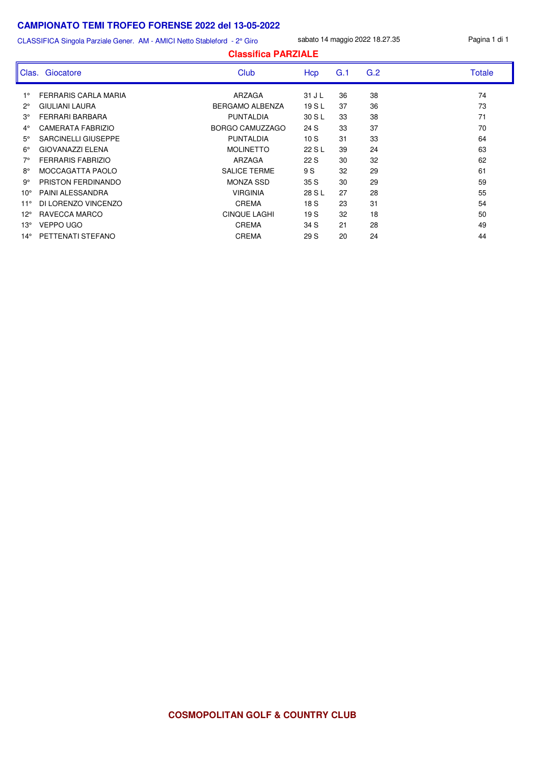CLASSIFICA Singola Parziale Gener. AM - AMICI Netto Stableford - 2° Giro

sabato 14 maggio 2022 18.27.35 Pagina 1 di 1

#### **Classifica PARZIALE**

| Clas.        | Giocatore                   | Club                | Hcp              | G.1 | G.2 | <b>Totale</b> |
|--------------|-----------------------------|---------------------|------------------|-----|-----|---------------|
| $1^{\circ}$  | <b>FERRARIS CARLA MARIA</b> | ARZAGA              | 31 J L           | 36  | 38  | 74            |
| $2^{\circ}$  | <b>GIULIANI LAURA</b>       | BERGAMO ALBENZA     | 19S <sub>L</sub> | 37  | 36  | 73            |
| $3^\circ$    | FERRARI BARBARA             | <b>PUNTALDIA</b>    | 30 S L           | 33  | 38  | 71            |
| $4^{\circ}$  | CAMERATA FABRIZIO           | BORGO CAMUZZAGO     | 24 S             | 33  | 37  | 70            |
| $5^\circ$    | SARCINELLI GIUSEPPE         | <b>PUNTALDIA</b>    | 10S              | 31  | 33  | 64            |
| 6°           | GIOVANAZZI ELENA            | <b>MOLINETTO</b>    | 22 S L           | 39  | 24  | 63            |
| $7^\circ$    | <b>FERRARIS FABRIZIO</b>    | ARZAGA              | 22 S             | 30  | 32  | 62            |
| 8°           | MOCCAGATTA PAOLO            | <b>SALICE TERME</b> | 9 S              | 32  | 29  | 61            |
| $9^{\circ}$  | PRISTON FERDINANDO          | <b>MONZA SSD</b>    | 35 S             | 30  | 29  | 59            |
| $10^{\circ}$ | PAINI ALESSANDRA            | <b>VIRGINIA</b>     | 28 S L           | 27  | 28  | 55            |
| $11^{\circ}$ | DI LORENZO VINCENZO         | CREMA               | 18 S             | 23  | 31  | 54            |
| $12^{\circ}$ | RAVECCA MARCO               | <b>CINQUE LAGHI</b> | 19 S             | 32  | 18  | 50            |
| $13^\circ$   | VEPPO UGO                   | CREMA               | 34 S             | 21  | 28  | 49            |
| $14^{\circ}$ | PETTENATI STEFANO           | <b>CREMA</b>        | 29 S             | 20  | 24  | 44            |